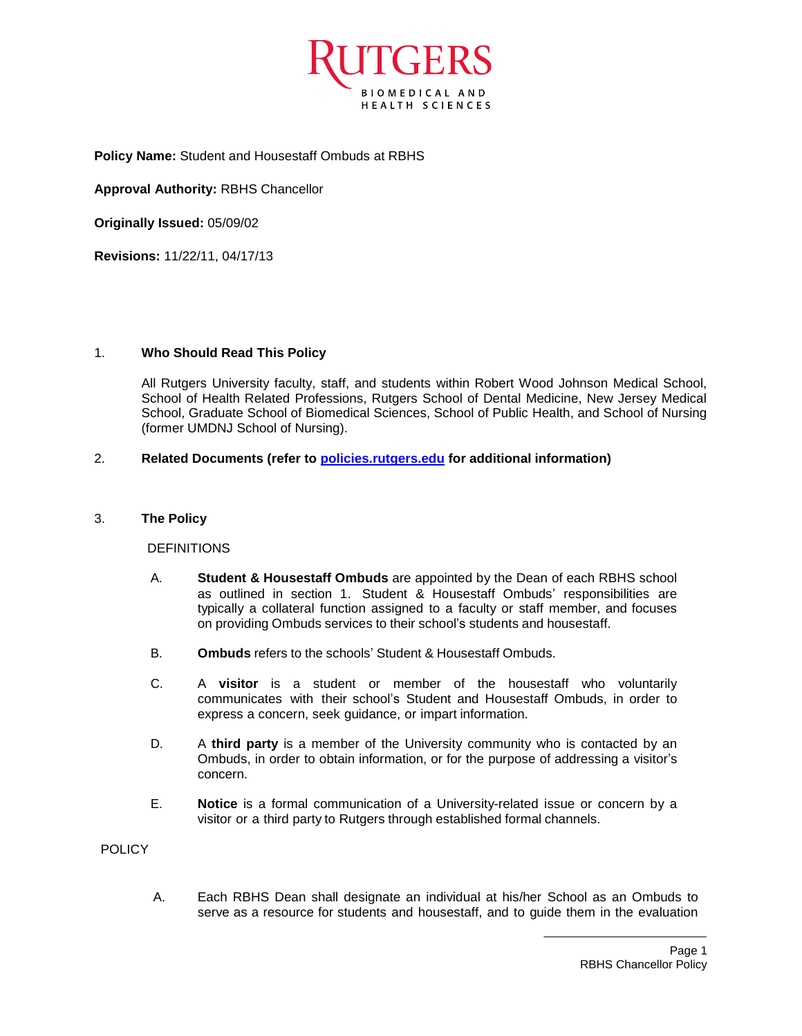

**Policy Name:** Student and Housestaff Ombuds at RBHS

**Approval Authority:** RBHS Chancellor

**Originally Issued:** 05/09/02

**Revisions:** 11/22/11, 04/17/13

## 1. **Who Should Read This Policy**

All Rutgers University faculty, staff, and students within Robert Wood Johnson Medical School, School of Health Related Professions, Rutgers School of Dental Medicine, New Jersey Medical School, Graduate School of Biomedical Sciences, School of Public Health, and School of Nursing (former UMDNJ School of Nursing).

## 2. **Related Documents (refer to [policies.rutgers.edu](file:///C:/Users/rsedlackpr001/Documents/Rutgers/Policies/RBHS%20Policies/policies.rutgers.edu) for additional information)**

### 3. **The Policy**

### DEFINITIONS

- A. **Student & Housestaff Ombuds** are appointed by the Dean of each RBHS school as outlined in section 1. Student & Housestaff Ombuds' responsibilities are typically a collateral function assigned to a faculty or staff member, and focuses on providing Ombuds services to their school's students and housestaff.
- B. **Ombuds** refers to the schools' Student & Housestaff Ombuds.
- C. A **visitor** is a student or member of the housestaff who voluntarily communicates with their school's Student and Housestaff Ombuds, in order to express a concern, seek guidance, or impart information.
- D. A **third party** is a member of the University community who is contacted by an Ombuds, in order to obtain information, or for the purpose of addressing a visitor's concern.
- E. **Notice** is a formal communication of a University-related issue or concern by a visitor or a third party to Rutgers through established formal channels.

POLICY

A. Each RBHS Dean shall designate an individual at his/her School as an Ombuds to serve as a resource for students and housestaff, and to guide them in the evaluation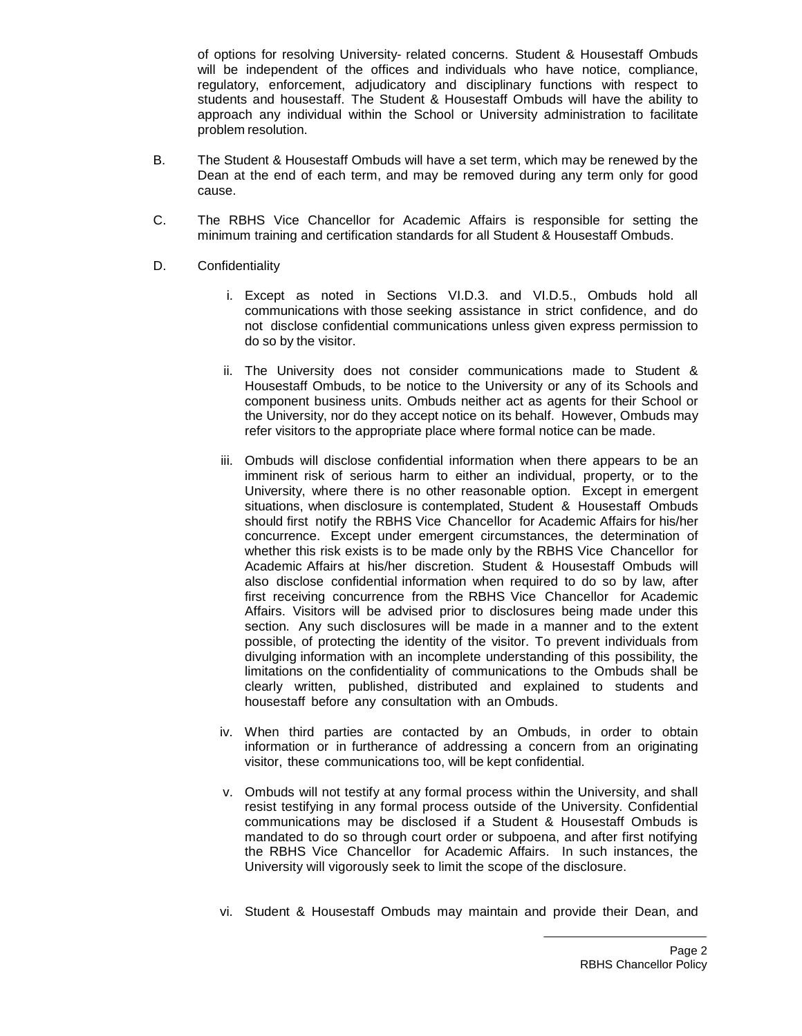of options for resolving University- related concerns. Student & Housestaff Ombuds will be independent of the offices and individuals who have notice, compliance, regulatory, enforcement, adjudicatory and disciplinary functions with respect to students and housestaff. The Student & Housestaff Ombuds will have the ability to approach any individual within the School or University administration to facilitate problem resolution.

- B. The Student & Housestaff Ombuds will have a set term, which may be renewed by the Dean at the end of each term, and may be removed during any term only for good cause.
- C. The RBHS Vice Chancellor for Academic Affairs is responsible for setting the minimum training and certification standards for all Student & Housestaff Ombuds.
- D. Confidentiality
	- i. Except as noted in Sections VI.D.3. and VI.D.5., Ombuds hold all communications with those seeking assistance in strict confidence, and do not disclose confidential communications unless given express permission to do so by the visitor.
	- ii. The University does not consider communications made to Student & Housestaff Ombuds, to be notice to the University or any of its Schools and component business units. Ombuds neither act as agents for their School or the University, nor do they accept notice on its behalf. However, Ombuds may refer visitors to the appropriate place where formal notice can be made.
	- iii. Ombuds will disclose confidential information when there appears to be an imminent risk of serious harm to either an individual, property, or to the University, where there is no other reasonable option. Except in emergent situations, when disclosure is contemplated, Student & Housestaff Ombuds should first notify the RBHS Vice Chancellor for Academic Affairs for his/her concurrence. Except under emergent circumstances, the determination of whether this risk exists is to be made only by the RBHS Vice Chancellor for Academic Affairs at his/her discretion. Student & Housestaff Ombuds will also disclose confidential information when required to do so by law, after first receiving concurrence from the RBHS Vice Chancellor for Academic Affairs. Visitors will be advised prior to disclosures being made under this section. Any such disclosures will be made in a manner and to the extent possible, of protecting the identity of the visitor. To prevent individuals from divulging information with an incomplete understanding of this possibility, the limitations on the confidentiality of communications to the Ombuds shall be clearly written, published, distributed and explained to students and housestaff before any consultation with an Ombuds.
	- iv. When third parties are contacted by an Ombuds, in order to obtain information or in furtherance of addressing a concern from an originating visitor, these communications too, will be kept confidential.
	- v. Ombuds will not testify at any formal process within the University, and shall resist testifying in any formal process outside of the University. Confidential communications may be disclosed if a Student & Housestaff Ombuds is mandated to do so through court order or subpoena, and after first notifying the RBHS Vice Chancellor for Academic Affairs. In such instances, the University will vigorously seek to limit the scope of the disclosure.
	- vi. Student & Housestaff Ombuds may maintain and provide their Dean, and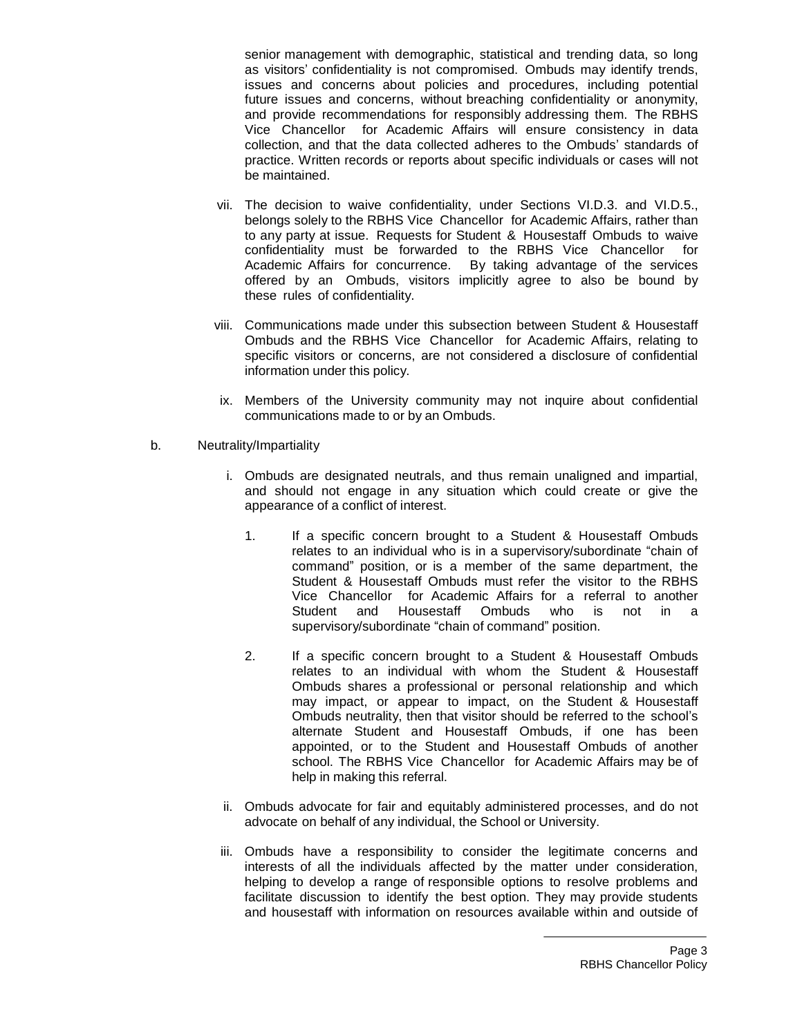senior management with demographic, statistical and trending data, so long as visitors' confidentiality is not compromised. Ombuds may identify trends, issues and concerns about policies and procedures, including potential future issues and concerns, without breaching confidentiality or anonymity, and provide recommendations for responsibly addressing them. The RBHS Vice Chancellor for Academic Affairs will ensure consistency in data collection, and that the data collected adheres to the Ombuds' standards of practice. Written records or reports about specific individuals or cases will not be maintained.

- vii. The decision to waive confidentiality, under Sections VI.D.3. and VI.D.5., belongs solely to the RBHS Vice Chancellor for Academic Affairs, rather than to any party at issue. Requests for Student & Housestaff Ombuds to waive confidentiality must be forwarded to the RBHS Vice Chancellor for Academic Affairs for concurrence. By taking advantage of the services offered by an Ombuds, visitors implicitly agree to also be bound by these rules of confidentiality.
- viii. Communications made under this subsection between Student & Housestaff Ombuds and the RBHS Vice Chancellor for Academic Affairs, relating to specific visitors or concerns, are not considered a disclosure of confidential information under this policy.
	- ix. Members of the University community may not inquire about confidential communications made to or by an Ombuds.
- b. Neutrality/Impartiality
	- i. Ombuds are designated neutrals, and thus remain unaligned and impartial, and should not engage in any situation which could create or give the appearance of a conflict of interest.
		- 1. If a specific concern brought to a Student & Housestaff Ombuds relates to an individual who is in a supervisory/subordinate "chain of command" position, or is a member of the same department, the Student & Housestaff Ombuds must refer the visitor to the RBHS Vice Chancellor for Academic Affairs for a referral to another Student and Housestaff Ombuds who is not in a supervisory/subordinate "chain of command" position.
		- 2. If a specific concern brought to a Student & Housestaff Ombuds relates to an individual with whom the Student & Housestaff Ombuds shares a professional or personal relationship and which may impact, or appear to impact, on the Student & Housestaff Ombuds neutrality, then that visitor should be referred to the school's alternate Student and Housestaff Ombuds, if one has been appointed, or to the Student and Housestaff Ombuds of another school. The RBHS Vice Chancellor for Academic Affairs may be of help in making this referral.
	- ii. Ombuds advocate for fair and equitably administered processes, and do not advocate on behalf of any individual, the School or University.
	- iii. Ombuds have a responsibility to consider the legitimate concerns and interests of all the individuals affected by the matter under consideration, helping to develop a range of responsible options to resolve problems and facilitate discussion to identify the best option. They may provide students and housestaff with information on resources available within and outside of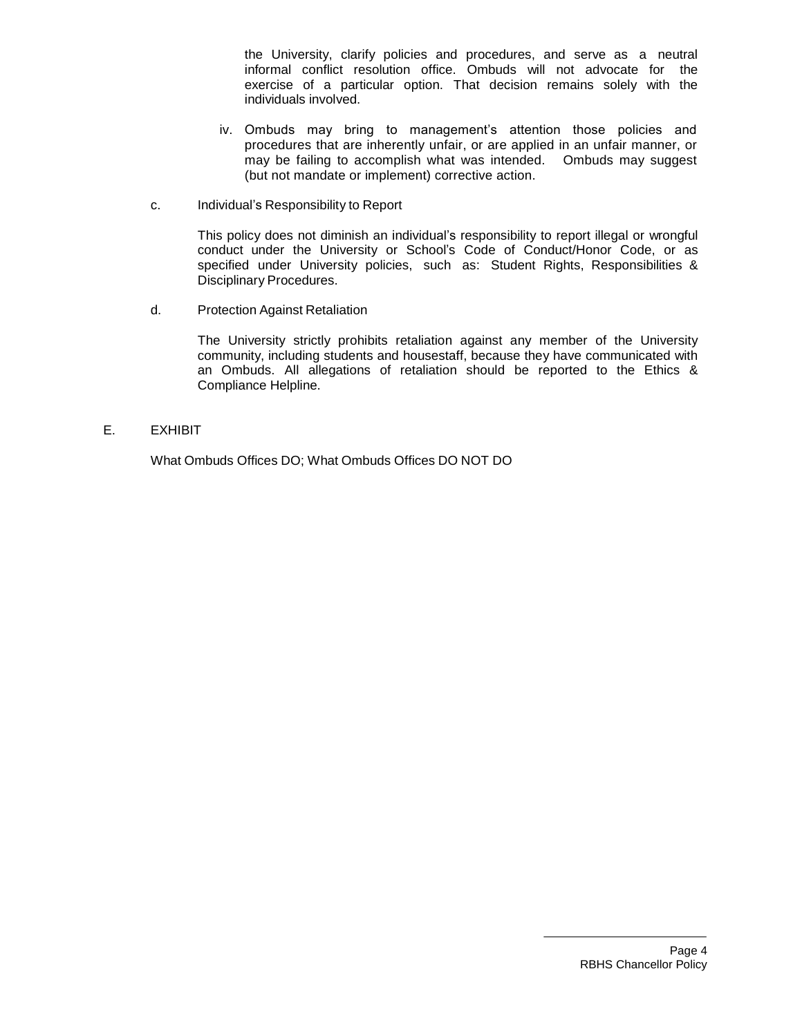the University, clarify policies and procedures, and serve as a neutral informal conflict resolution office. Ombuds will not advocate for the exercise of a particular option. That decision remains solely with the individuals involved.

- iv. Ombuds may bring to management's attention those policies and procedures that are inherently unfair, or are applied in an unfair manner, or may be failing to accomplish what was intended. Ombuds may suggest (but not mandate or implement) corrective action.
- c. Individual's Responsibility to Report

This policy does not diminish an individual's responsibility to report illegal or wrongful conduct under the University or School's Code of Conduct/Honor Code, or as specified under University policies, such as: Student Rights, Responsibilities & Disciplinary Procedures.

d. Protection Against Retaliation

The University strictly prohibits retaliation against any member of the University community, including students and housestaff, because they have communicated with an Ombuds. All allegations of retaliation should be reported to the Ethics & Compliance Helpline.

E. EXHIBIT

What Ombuds Offices DO; What Ombuds Offices DO NOT DO